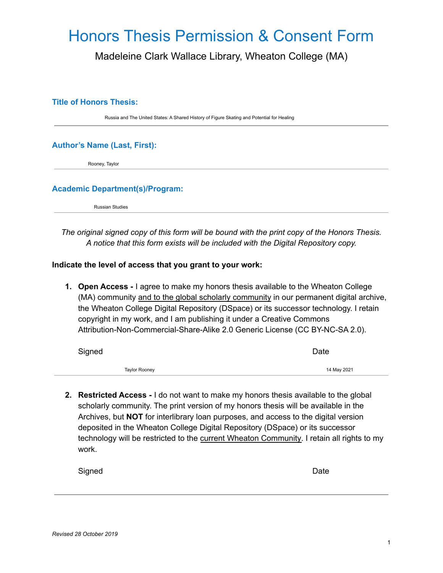# Honors Thesis Permission & Consent Form

Madeleine Clark Wallace Library, Wheaton College (MA)

#### **Title of Honors Thesis:**

Russia and The United States: A Shared History of Figure Skating and Potential for Healing

### **Author's Name (Last, First):**

Rooney, Taylor

#### **Academic Department(s)/Program:**

Russian Studies

*The original signed copy of this form will be bound with the print copy of the Honors Thesis. A notice that this form exists will be included with the Digital Repository copy.*

#### **Indicate the level of access that you grant to your work:**

**1. Open Access -** I agree to make my honors thesis available to the Wheaton College (MA) community and to the global scholarly community in our permanent digital archive, the Wheaton College Digital Repository (DSpace) or its successor technology. I retain copyright in my work, and I am publishing it under a Creative Commons Attribution-Non-Commercial-Share-Alike 2.0 Generic License (CC BY-NC-SA 2.0).

| Signed |               | Date        |
|--------|---------------|-------------|
|        | Taylor Rooney | 14 May 2021 |

**2. Restricted Access -** I do not want to make my honors thesis available to the global scholarly community. The print version of my honors thesis will be available in the Archives, but **NOT** for interlibrary loan purposes, and access to the digital version deposited in the Wheaton College Digital Repository (DSpace) or its successor technology will be restricted to the current Wheaton Community. I retain all rights to my work.

| Signed |  | Date |
|--------|--|------|
|        |  |      |